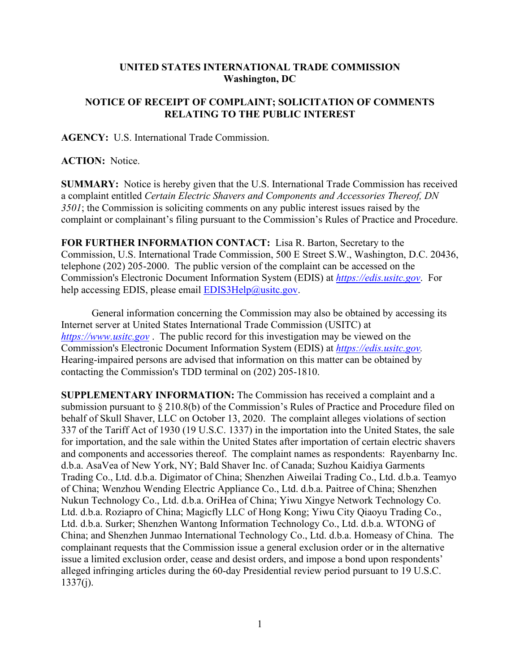## **UNITED STATES INTERNATIONAL TRADE COMMISSION Washington, DC**

## **NOTICE OF RECEIPT OF COMPLAINT; SOLICITATION OF COMMENTS RELATING TO THE PUBLIC INTEREST**

**AGENCY:** U.S. International Trade Commission.

## **ACTION:** Notice.

**SUMMARY:** Notice is hereby given that the U.S. International Trade Commission has received a complaint entitled *Certain Electric Shavers and Components and Accessories Thereof, DN 3501*; the Commission is soliciting comments on any public interest issues raised by the complaint or complainant's filing pursuant to the Commission's Rules of Practice and Procedure.

**FOR FURTHER INFORMATION CONTACT:** Lisa R. Barton, Secretary to the Commission, U.S. International Trade Commission, 500 E Street S.W., Washington, D.C. 20436, telephone (202) 205-2000. The public version of the complaint can be accessed on the Commission's Electronic Document Information System (EDIS) at *[https://edis.usitc.gov](https://edis.usitc.gov/)*. For help accessing EDIS, please email [EDIS3Help@usitc.gov.](mailto:EDIS3Help@usitc.gov)

General information concerning the Commission may also be obtained by accessing its Internet server at United States International Trade Commission (USITC) at *[https://www.usitc.gov](https://www.usitc.gov/)* . The public record for this investigation may be viewed on the Commission's Electronic Document Information System (EDIS) at *[https://edis.usitc.gov.](https://edis.usitc.gov/)* Hearing-impaired persons are advised that information on this matter can be obtained by contacting the Commission's TDD terminal on (202) 205-1810.

**SUPPLEMENTARY INFORMATION:** The Commission has received a complaint and a submission pursuant to § 210.8(b) of the Commission's Rules of Practice and Procedure filed on behalf of Skull Shaver, LLC on October 13, 2020. The complaint alleges violations of section 337 of the Tariff Act of 1930 (19 U.S.C. 1337) in the importation into the United States, the sale for importation, and the sale within the United States after importation of certain electric shavers and components and accessories thereof. The complaint names as respondents: Rayenbarny Inc. d.b.a. AsaVea of New York, NY; Bald Shaver Inc. of Canada; Suzhou Kaidiya Garments Trading Co., Ltd. d.b.a. Digimator of China; Shenzhen Aiweilai Trading Co., Ltd. d.b.a. Teamyo of China; Wenzhou Wending Electric Appliance Co., Ltd. d.b.a. Paitree of China; Shenzhen Nukun Technology Co., Ltd. d.b.a. OriHea of China; Yiwu Xingye Network Technology Co. Ltd. d.b.a. Roziapro of China; Magicfly LLC of Hong Kong; Yiwu City Qiaoyu Trading Co., Ltd. d.b.a. Surker; Shenzhen Wantong Information Technology Co., Ltd. d.b.a. WTONG of China; and Shenzhen Junmao International Technology Co., Ltd. d.b.a. Homeasy of China. The complainant requests that the Commission issue a general exclusion order or in the alternative issue a limited exclusion order, cease and desist orders, and impose a bond upon respondents' alleged infringing articles during the 60-day Presidential review period pursuant to 19 U.S.C.  $1337(i)$ .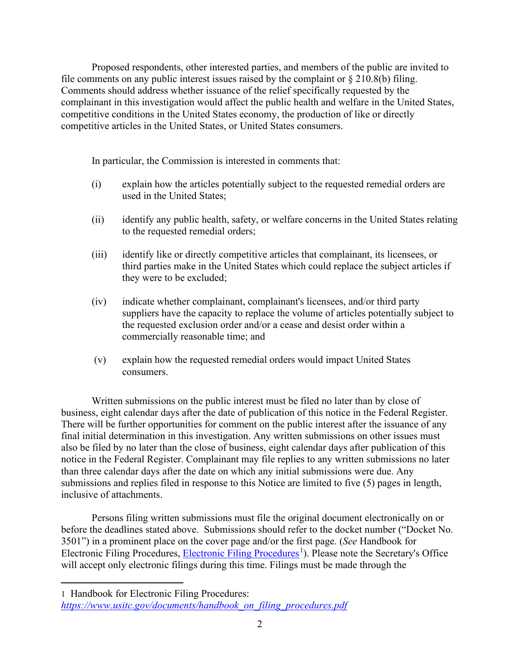Proposed respondents, other interested parties, and members of the public are invited to file comments on any public interest issues raised by the complaint or  $\S 210.8(b)$  filing. Comments should address whether issuance of the relief specifically requested by the complainant in this investigation would affect the public health and welfare in the United States, competitive conditions in the United States economy, the production of like or directly competitive articles in the United States, or United States consumers.

In particular, the Commission is interested in comments that:

- (i) explain how the articles potentially subject to the requested remedial orders are used in the United States;
- (ii) identify any public health, safety, or welfare concerns in the United States relating to the requested remedial orders;
- (iii) identify like or directly competitive articles that complainant, its licensees, or third parties make in the United States which could replace the subject articles if they were to be excluded;
- (iv) indicate whether complainant, complainant's licensees, and/or third party suppliers have the capacity to replace the volume of articles potentially subject to the requested exclusion order and/or a cease and desist order within a commercially reasonable time; and
- (v) explain how the requested remedial orders would impact United States consumers.

Written submissions on the public interest must be filed no later than by close of business, eight calendar days after the date of publication of this notice in the Federal Register. There will be further opportunities for comment on the public interest after the issuance of any final initial determination in this investigation. Any written submissions on other issues must also be filed by no later than the close of business, eight calendar days after publication of this notice in the Federal Register. Complainant may file replies to any written submissions no later than three calendar days after the date on which any initial submissions were due. Any submissions and replies filed in response to this Notice are limited to five (5) pages in length, inclusive of attachments.

Persons filing written submissions must file the original document electronically on or before the deadlines stated above. Submissions should refer to the docket number ("Docket No. 3501") in a prominent place on the cover page and/or the first page. (*See* Handbook for Electronic Filing Procedures, [Electronic Filing Procedures](https://www.usitc.gov/documents/handbook_on_filing_procedures.pdf)<sup>[1](#page-1-0)</sup>). Please note the Secretary's Office will accept only electronic filings during this time. Filings must be made through the

<span id="page-1-0"></span><sup>1</sup> Handbook for Electronic Filing Procedures: *[https://www.usitc.gov/documents/handbook\\_on\\_filing\\_procedures.pdf](https://www.usitc.gov/documents/handbook_on_filing_procedures.pdf)*